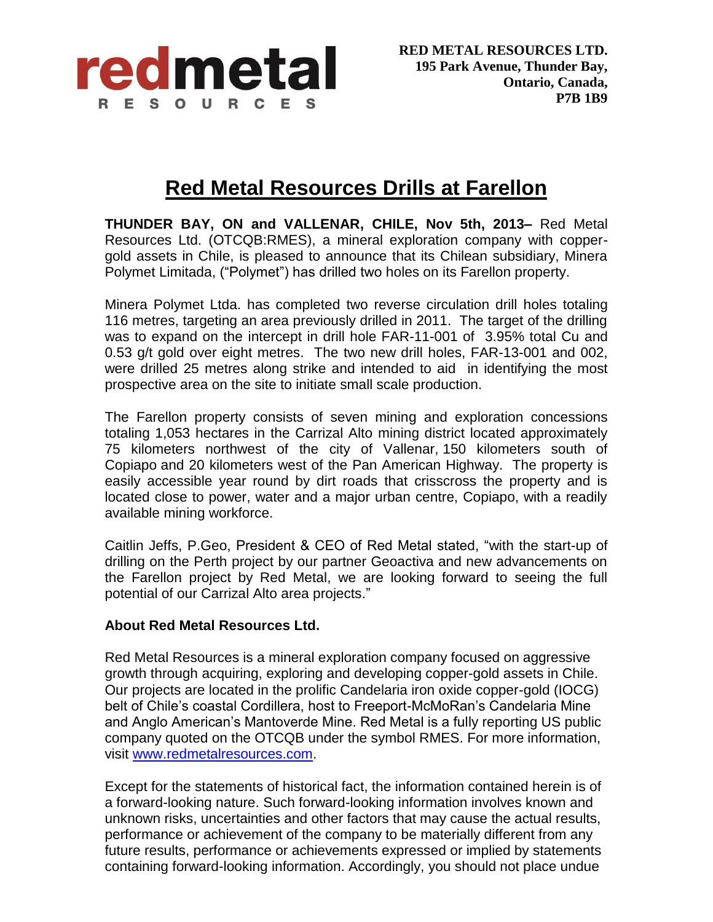

## **Red Metal Resources Drills at Farellon**

**THUNDER BAY, ON and VALLENAR, CHILE, Nov 5th, 2013–** Red Metal Resources Ltd. (OTCQB:RMES), a mineral exploration company with coppergold assets in Chile, is pleased to announce that its Chilean subsidiary, Minera Polymet Limitada, ("Polymet") has drilled two holes on its Farellon property.

Minera Polymet Ltda. has completed two reverse circulation drill holes totaling 116 metres, targeting an area previously drilled in 2011. The target of the drilling was to expand on the intercept in drill hole FAR-11-001 of 3.95% total Cu and 0.53 g/t gold over eight metres. The two new drill holes, FAR-13-001 and 002, were drilled 25 metres along strike and intended to aid in identifying the most prospective area on the site to initiate small scale production.

The Farellon property consists of seven mining and exploration concessions totaling 1,053 hectares in the Carrizal Alto mining district located approximately 75 kilometers northwest of the city of Vallenar, 150 kilometers south of Copiapo and 20 kilometers west of the Pan American Highway. The property is easily accessible year round by dirt roads that crisscross the property and is located close to power, water and a major urban centre, Copiapo, with a readily available mining workforce.

Caitlin Jeffs, P.Geo, President & CEO of Red Metal stated, "with the start-up of drilling on the Perth project by our partner Geoactiva and new advancements on the Farellon project by Red Metal, we are looking forward to seeing the full potential of our Carrizal Alto area projects."

## **About Red Metal Resources Ltd.**

Red Metal Resources is a mineral exploration company focused on aggressive growth through acquiring, exploring and developing copper-gold assets in Chile. Our projects are located in the prolific Candelaria iron oxide copper-gold (IOCG) belt of Chile's coastal Cordillera, host to Freeport-McMoRan's Candelaria Mine and Anglo American's Mantoverde Mine. Red Metal is a fully reporting US public company quoted on the OTCQB under the symbol RMES. For more information, visit [www.redmetalresources.com.](http://www.redmetalresources.com/)

Except for the statements of historical fact, the information contained herein is of a forward-looking nature. Such forward-looking information involves known and unknown risks, uncertainties and other factors that may cause the actual results, performance or achievement of the company to be materially different from any future results, performance or achievements expressed or implied by statements containing forward-looking information. Accordingly, you should not place undue